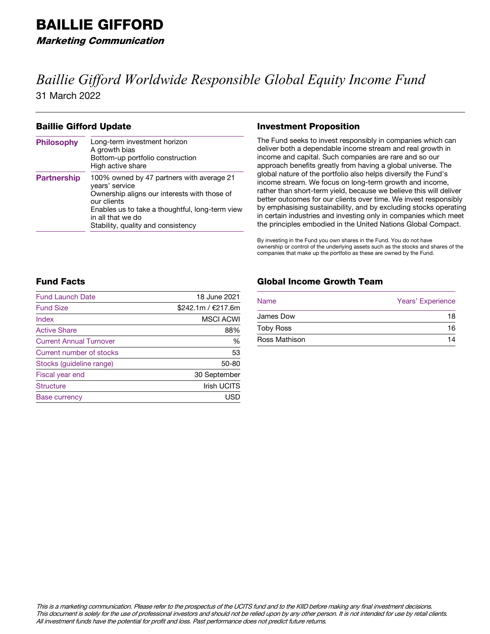Marketing Communication

# *Baillie Gifford Worldwide Responsible Global Equity Income Fund*

31 March 2022

### Baillie Gifford Update

| <b>Philosophy</b>  | Long-term investment horizon<br>A growth bias<br>Bottom-up portfolio construction<br>High active share                                                                                                                                   |
|--------------------|------------------------------------------------------------------------------------------------------------------------------------------------------------------------------------------------------------------------------------------|
| <b>Partnership</b> | 100% owned by 47 partners with average 21<br>vears' service<br>Ownership aligns our interests with those of<br>our clients<br>Enables us to take a thoughtful, long-term view<br>in all that we do<br>Stability, quality and consistency |

### Investment Proposition

The Fund seeks to invest responsibly in companies which can deliver both a dependable income stream and real growth in income and capital. Such companies are rare and so our approach benefits greatly from having a global universe. The global nature of the portfolio also helps diversify the Fund's income stream. We focus on long-term growth and income, rather than short-term yield, because we believe this will deliver better outcomes for our clients over time. We invest responsibly by emphasising sustainability, and by excluding stocks operating in certain industries and investing only in companies which meet the principles embodied in the United Nations Global Compact.

By investing in the Fund you own shares in the Fund. You do not have ownership or control of the underlying assets such as the stocks and shares of the companies that make up the portfolio as these are owned by the Fund.

## Fund Facts

| <b>Fund Launch Date</b>        | 18 June 2021       |
|--------------------------------|--------------------|
| <b>Fund Size</b>               | \$242.1m / €217.6m |
| Index                          | <b>MSCI ACWI</b>   |
| <b>Active Share</b>            | 88%                |
| <b>Current Annual Turnover</b> | %                  |
| Current number of stocks       | 53                 |
| Stocks (guideline range)       | $50 - 80$          |
| Fiscal year end                | 30 September       |
| <b>Structure</b>               | <b>Irish UCITS</b> |
| <b>Base currency</b>           | <b>USD</b>         |

# Global Income Growth Team

| <b>Name</b>          | Years' Experience |
|----------------------|-------------------|
| <b>James Dow</b>     | 18                |
| <b>Toby Ross</b>     | 16                |
| <b>Ross Mathison</b> | 14                |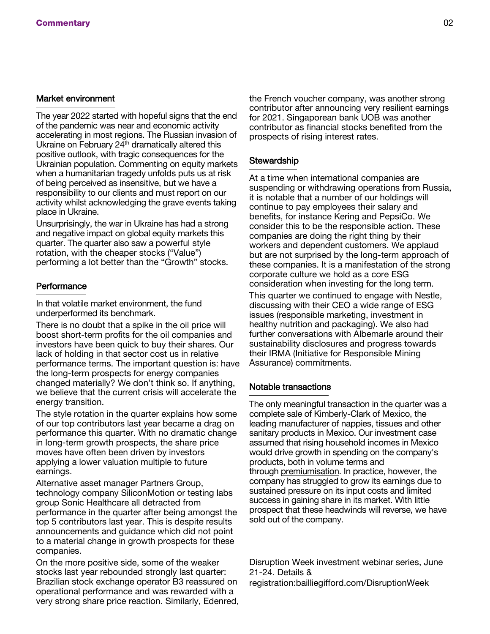### Market environment

The year 2022 started with hopeful signs that the end of the pandemic was near and economic activity accelerating in most regions. The Russian invasion of Ukraine on February  $24<sup>th</sup>$  dramatically altered this positive outlook, with tragic consequences for the Ukrainian population. Commenting on equity markets when a humanitarian tragedy unfolds puts us at risk of being perceived as insensitive, but we have a responsibility to our clients and must report on our activity whilst acknowledging the grave events taking place in Ukraine.

Unsurprisingly, the war in Ukraine has had a strong and negative impact on global equity markets this quarter. The quarter also saw a powerful style rotation, with the cheaper stocks ("Value") performing a lot better than the "Growth" stocks.

### **Performance**

In that volatile market environment, the fund underperformed its benchmark.

There is no doubt that a spike in the oil price will boost short-term profits for the oil companies and investors have been quick to buy their shares. Our lack of holding in that sector cost us in relative performance terms. The important question is: have the long-term prospects for energy companies changed materially? We don't think so. If anything, we believe that the current crisis will accelerate the energy transition.

The style rotation in the quarter explains how some of our top contributors last year became a drag on performance this quarter. With no dramatic change in long-term growth prospects, the share price moves have often been driven by investors applying a lower valuation multiple to future earnings.

Alternative asset manager Partners Group, technology company SiliconMotion or testing labs group Sonic Healthcare all detracted from performance in the quarter after being amongst the top 5 contributors last year. This is despite results announcements and guidance which did not point to a material change in growth prospects for these companies.

On the more positive side, some of the weaker stocks last year rebounded strongly last quarter: Brazilian stock exchange operator B3 reassured on operational performance and was rewarded with a very strong share price reaction. Similarly, Edenred, the French voucher company, was another strong contributor after announcing very resilient earnings for 2021. Singaporean bank UOB was another contributor as financial stocks benefited from the prospects of rising interest rates.

### **Stewardship**

At a time when international companies are suspending or withdrawing operations from Russia, it is notable that a number of our holdings will continue to pay employees their salary and benefits, for instance Kering and PepsiCo. We consider this to be the responsible action. These companies are doing the right thing by their workers and dependent customers. We applaud but are not surprised by the long-term approach of these companies. It is a manifestation of the strong corporate culture we hold as a core ESG consideration when investing for the long term.

This quarter we continued to engage with Nestle, discussing with their CEO a wide range of ESG issues (responsible marketing, investment in healthy nutrition and packaging). We also had further conversations with Albemarle around their sustainability disclosures and progress towards their IRMA (Initiative for Responsible Mining Assurance) commitments.

### Notable transactions

The only meaningful transaction in the quarter was a complete sale of Kimberly-Clark of Mexico, the leading manufacturer of nappies, tissues and other sanitary products in Mexico. Our investment case assumed that rising household incomes in Mexico would drive growth in spending on the company's products, both in volume terms and through premiumisation. In practice, however, the company has struggled to grow its earnings due to sustained pressure on its input costs and limited success in gaining share in its market. With little prospect that these headwinds will reverse, we have sold out of the company.

Disruption Week investment webinar series, June 21-24. Details & registration:bailliegifford.com/DisruptionWeek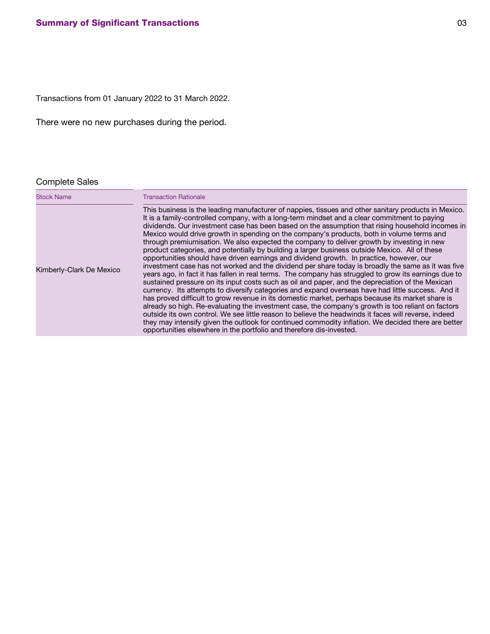Transactions from 01 January 2022 to 31 March 2022.

There were no new purchases during the period.

# Complete Sales

| <b>Stock Name</b>        | <b>Transaction Rationale</b>                                                                                                                                                                                                                                                                                                                                                                                                                                                                                                                                                                                                                                                                                                                                                                                                                                                                                                                                                                                                                                                                                                                                                                                                                                                                                                                                                                                                                                                                                                                                                                                                |
|--------------------------|-----------------------------------------------------------------------------------------------------------------------------------------------------------------------------------------------------------------------------------------------------------------------------------------------------------------------------------------------------------------------------------------------------------------------------------------------------------------------------------------------------------------------------------------------------------------------------------------------------------------------------------------------------------------------------------------------------------------------------------------------------------------------------------------------------------------------------------------------------------------------------------------------------------------------------------------------------------------------------------------------------------------------------------------------------------------------------------------------------------------------------------------------------------------------------------------------------------------------------------------------------------------------------------------------------------------------------------------------------------------------------------------------------------------------------------------------------------------------------------------------------------------------------------------------------------------------------------------------------------------------------|
| Kimberly-Clark De Mexico | This business is the leading manufacturer of nappies, tissues and other sanitary products in Mexico.<br>It is a family-controlled company, with a long-term mindset and a clear commitment to paying<br>dividends. Our investment case has been based on the assumption that rising household incomes in<br>Mexico would drive growth in spending on the company's products, both in volume terms and<br>through premiumisation. We also expected the company to deliver growth by investing in new<br>product categories, and potentially by building a larger business outside Mexico. All of these<br>opportunities should have driven earnings and dividend growth. In practice, however, our<br>investment case has not worked and the dividend per share today is broadly the same as it was five<br>years ago, in fact it has fallen in real terms. The company has struggled to grow its earnings due to<br>sustained pressure on its input costs such as oil and paper, and the depreciation of the Mexican<br>currency. Its attempts to diversify categories and expand overseas have had little success. And it<br>has proved difficult to grow revenue in its domestic market, perhaps because its market share is<br>already so high. Re-evaluating the investment case, the company's growth is too reliant on factors<br>outside its own control. We see little reason to believe the headwinds it faces will reverse, indeed<br>they may intensify given the outlook for continued commodity inflation. We decided there are better<br>opportunities elsewhere in the portfolio and therefore dis-invested. |
|                          |                                                                                                                                                                                                                                                                                                                                                                                                                                                                                                                                                                                                                                                                                                                                                                                                                                                                                                                                                                                                                                                                                                                                                                                                                                                                                                                                                                                                                                                                                                                                                                                                                             |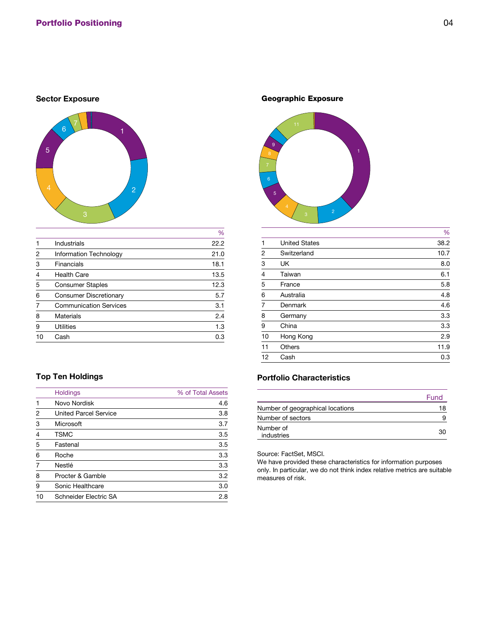### **Sector Exposure**



|                |                               | $\%$ |
|----------------|-------------------------------|------|
|                | <b>Industrials</b>            | 22.2 |
| 2              | <b>Information Technology</b> | 21.0 |
| 3              | <b>Financials</b>             | 18.1 |
| $\overline{4}$ | <b>Health Care</b>            | 13.5 |
| 5              | <b>Consumer Staples</b>       | 12.3 |
| 6              | <b>Consumer Discretionary</b> | 5.7  |
|                | <b>Communication Services</b> | 3.1  |
| 8              | <b>Materials</b>              | 2.4  |
| 9              | <b>Utilities</b>              | 1.3  |
| 10             | Cash                          | 0.3  |
|                |                               |      |

# **Top Ten Holdings**

|                | <b>Holdings</b>              | % of Total Assets |
|----------------|------------------------------|-------------------|
|                | Novo Nordisk                 | 4.6               |
| $\overline{2}$ | <b>United Parcel Service</b> | 3.8               |
| 3              | Microsoft                    | 3.7               |
| $\overline{4}$ | <b>TSMC</b>                  | 3.5               |
| 5              | Fastenal                     | 3.5               |
| 6              | Roche                        | 3.3               |
| 7              | <b>Nestlé</b>                | 3.3               |
| 8              | Procter & Gamble             | 3.2               |
| 9              | <b>Sonic Healthcare</b>      | 3.0               |
| 10             | Schneider Electric SA        | 2.8               |

Geographic Exposure



|                |                      | %    |
|----------------|----------------------|------|
| 1              | <b>United States</b> | 38.2 |
| $\overline{2}$ | Switzerland          | 10.7 |
| 3              | <b>UK</b>            | 8.0  |
| $\overline{4}$ | Taiwan               | 6.1  |
| 5              | France               | 5.8  |
| 6              | Australia            | 4.8  |
| $\overline{7}$ | <b>Denmark</b>       | 4.6  |
| 8              | Germany              | 3.3  |
| 9              | China                | 3.3  |
| 10             | Hong Kong            | 2.9  |
| 11             | <b>Others</b>        | 11.9 |
| 12             | Cash                 | 0.3  |
|                |                      |      |

# **Portfolio Characteristics**

|                                  | Fund |
|----------------------------------|------|
| Number of geographical locations | 18   |
| Number of sectors                |      |
| Number of<br>industries          | 30   |

Source: FactSet, MSCI.

We have provided these characteristics for information purposes only. In particular, we do not think index relative metrics are suitable measures of risk.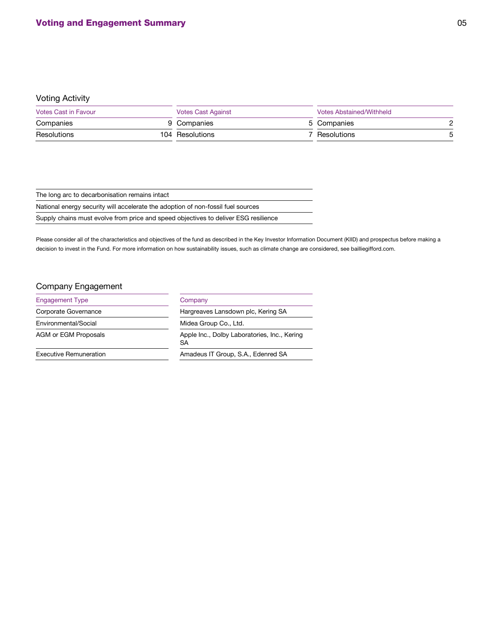# Voting Activity

| <b>Votes Cast in Favour</b> |  |                 | <b>Votes Cast Against</b> |               |  |
|-----------------------------|--|-----------------|---------------------------|---------------|--|
| Companies                   |  | 9 Companies     |                           | 5 Companies   |  |
| <b>Resolutions</b>          |  | 104 Resolutions |                           | 7 Resolutions |  |

| The long arc to decarbonisation remains intact                                      |
|-------------------------------------------------------------------------------------|
| National energy security will accelerate the adoption of non-fossil fuel sources    |
| Supply chains must evolve from price and speed objectives to deliver ESG resilience |

Please consider all of the characteristics and objectives of the fund as described in the Key Investor Information Document (KIID) and prospectus before making a decision to invest in the Fund. For more information on how sustainability issues, such as climate change are considered, see bailliegifford.com.

# Company Engagement

| <b>Engagement Type</b>        | Company                                            |  |
|-------------------------------|----------------------------------------------------|--|
| <b>Corporate Governance</b>   | Hargreaves Lansdown plc, Kering SA                 |  |
| Environmental/Social          | Midea Group Co., Ltd.                              |  |
| <b>AGM or EGM Proposals</b>   | Apple Inc., Dolby Laboratories, Inc., Kering<br>SA |  |
| <b>Executive Remuneration</b> | Amadeus IT Group, S.A., Edenred SA                 |  |
|                               |                                                    |  |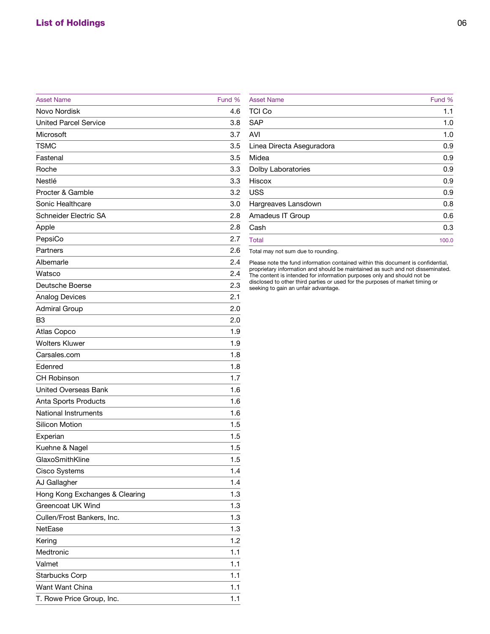| <b>Asset Name</b>              | Fund % |
|--------------------------------|--------|
| <b>Novo Nordisk</b>            | 4.6    |
| <b>United Parcel Service</b>   | 3.8    |
| <b>Microsoft</b>               | 3.7    |
| <b>TSMC</b>                    | 3.5    |
| Fastenal                       | 3.5    |
| Roche                          | 3.3    |
| <b>Nestlé</b>                  | 3.3    |
| <b>Procter &amp; Gamble</b>    | 3.2    |
| <b>Sonic Healthcare</b>        | 3.0    |
| <b>Schneider Electric SA</b>   | 2.8    |
| Apple                          | 2.8    |
| PepsiCo                        | 2.7    |
| <b>Partners</b>                | 2.6    |
| Albemarle                      | 2.4    |
| <b>Watsco</b>                  | 2.4    |
| Deutsche Boerse                | 2.3    |
| <b>Analog Devices</b>          | 2.1    |
| <b>Admiral Group</b>           | 2.0    |
| B <sub>3</sub>                 | 2.0    |
| <b>Atlas Copco</b>             | 1.9    |
| <b>Wolters Kluwer</b>          | 1.9    |
| Carsales.com                   | 1.8    |
| Edenred                        | 1.8    |
| <b>CH Robinson</b>             | 1.7    |
| <b>United Overseas Bank</b>    | 1.6    |
| <b>Anta Sports Products</b>    | 1.6    |
| <b>National Instruments</b>    | 1.6    |
| <b>Silicon Motion</b>          | 1.5    |
| Experian                       | 1.5    |
| Kuehne & Nagel                 | 1.5    |
| GlaxoSmithKline                | 1.5    |
| <b>Cisco Systems</b>           | 1.4    |
| <b>AJ Gallagher</b>            | 1.4    |
| Hong Kong Exchanges & Clearing | 1.3    |
| <b>Greencoat UK Wind</b>       | 1.3    |
| Cullen/Frost Bankers, Inc.     | 1.3    |
| <b>NetEase</b>                 | 1.3    |
| Kering                         | 1.2    |
| Medtronic                      | 1.1    |
| Valmet                         | 1.1    |
| <b>Starbucks Corp</b>          | 1.1    |
| <b>Want Want China</b>         | 1.1    |
| T. Rowe Price Group, Inc.      | 1.1    |

| <b>Asset Name</b>         | Fund % |
|---------------------------|--------|
| <b>TCI Co</b>             | 1.1    |
| <b>SAP</b>                | 1.0    |
| <b>AVI</b>                | 1.0    |
| Linea Directa Aseguradora | 0.9    |
| Midea                     | 0.9    |
| <b>Dolby Laboratories</b> | 0.9    |
| <b>Hiscox</b>             | 0.9    |
| <b>USS</b>                | 0.9    |
| Hargreaves Lansdown       | 0.8    |
| <b>Amadeus IT Group</b>   | 0.6    |
| Cash                      | 0.3    |
| <b>Total</b>              | 100.0  |
|                           |        |

Total may not sum due to rounding.

Please note the fund information contained within this document is confidential, proprietary information and should be maintained as such and not disseminated. The content is intended for information purposes only and should not be disclosed to other third parties or used for the purposes of market timing or seeking to gain an unfair advantage.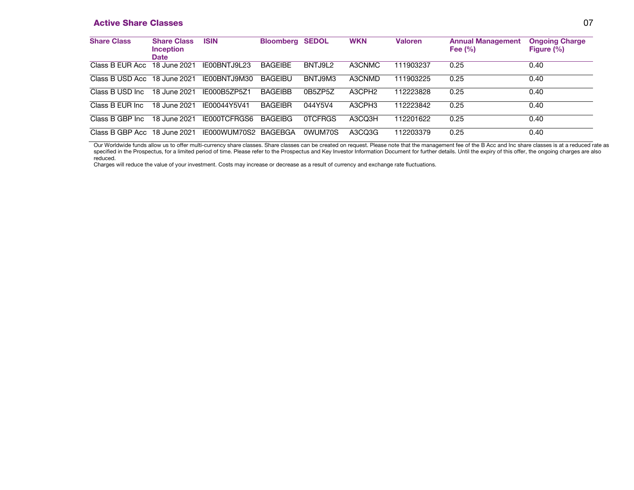### **Active Share Classes** 07

| <b>Share Class</b>           | <b>Share Class</b><br><b>Inception</b><br><b>Date</b> | <b>ISIN</b>   | <b>Bloomberg SEDOL</b> |         | <b>WKN</b>         | <b>Valoren</b> | <b>Annual Management</b><br>Fee $(\% )$ | <b>Ongoing Charge</b><br>Figure $(\% )$ |
|------------------------------|-------------------------------------------------------|---------------|------------------------|---------|--------------------|----------------|-----------------------------------------|-----------------------------------------|
| Class B EUR Acc              | 18 June 2021                                          | IE00BNTJ9L23  | <b>BAGEIBE</b>         | BNTJ9L2 | A3CNMC             | 111903237      | 0.25                                    | 0.40                                    |
| Class B USD Acc 18 June 2021 |                                                       | IF00BNT.I9M30 | <b>BAGEIBU</b>         | BNTJ9M3 | A3CNMD             | 111903225      | 0.25                                    | 0.40                                    |
| Class B USD Inc.             | 18 June 2021                                          | IF000B57P571  | <b>BAGEIBB</b>         | 0B5ZP5Z | A3CPH <sub>2</sub> | 112223828      | 0.25                                    | 0.40                                    |
| Class B EUR Inc.             | 18 June 2021                                          | IE00044Y5V41  | <b>BAGEIBR</b>         | 044Y5V4 | A3CPH <sub>3</sub> | 112223842      | 0.25                                    | 0.40                                    |
| Class B GBP Inc.             | 18 June 2021                                          | IE000TCFRGS6  | <b>BAGEIBG</b>         | 0TCFRGS | A3CQ3H             | 112201622      | 0.25                                    | 0.40                                    |
| Class B GBP Acc 18 June 2021 |                                                       | IE000WUM70S2  | <b>BAGEBGA</b>         | 0WUM70S | A3CQ3G             | 112203379      | 0.25                                    | 0.40                                    |

Our Worldwide funds allow us to offer multi-currency share classes. Share classes can be created on request. Please note that the management fee of the B Acc and Inc share classes is at a reduced rate as specified in the Prospectus, for a limited period of time. Please refer to the Prospectus and Key Investor Information Document for further details. Until the expiry of this offer, the ongoing charges are also reduced.

Charges will reduce the value of your investment. Costs may increase or decrease as a result of currency and exchange rate fluctuations.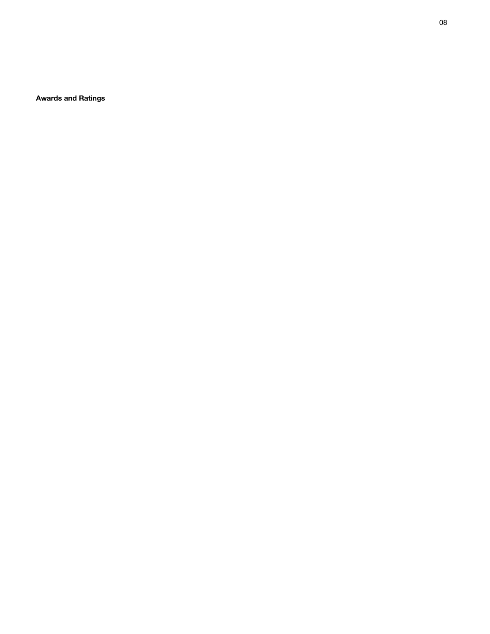**Awards and Ratings**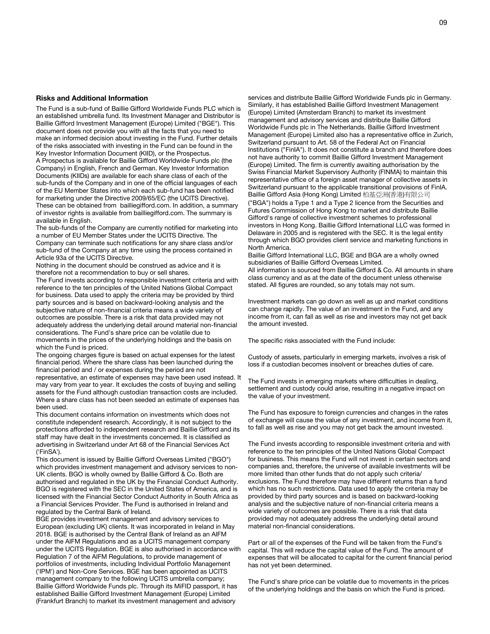#### **Risks and Additional Information**

The Fund is a sub-fund of Baillie Gifford Worldwide Funds PLC which is an established umbrella fund. Its Investment Manager and Distributor is Baillie Gifford Investment Management (Europe) Limited ("BGE"). This document does not provide you with all the facts that you need to make an informed decision about investing in the Fund. Further details of the risks associated with investing in the Fund can be found in the Key Investor Information Document (KIID), or the Prospectus. A Prospectus is available for Baillie Gifford Worldwide Funds plc (the Company) in English, French and German. Key Investor Information Documents (KIIDs) are available for each share class of each of the sub-funds of the Company and in one of the official languages of each of the EU Member States into which each sub-fund has been notified for marketing under the Directive 2009/65/EC (the UCITS Directive). These can be obtained from bailliegifford.com. In addition, a summary of investor rights is available from bailliegifford.com. The summary is available in English.

The sub-funds of the Company are currently notified for marketing into a number of EU Member States under the UCITS Directive. The Company can terminate such notifications for any share class and/or sub-fund of the Company at any time using the process contained in Article 93a of the UCITS Directive.

Nothing in the document should be construed as advice and it is therefore not a recommendation to buy or sell shares.

The Fund invests according to responsible investment criteria and with reference to the ten principles of the United Nations Global Compact for business. Data used to apply the criteria may be provided by third party sources and is based on backward-looking analysis and the subjective nature of non-financial criteria means a wide variety of outcomes are possible. There is a risk that data provided may not adequately address the underlying detail around material non-financial considerations. The Fund's share price can be volatile due to movements in the prices of the underlying holdings and the basis on which the Fund is priced.

The ongoing charges figure is based on actual expenses for the latest financial period. Where the share class has been launched during the financial period and / or expenses during the period are not representative, an estimate of expenses may have been used instead. It may vary from year to year. It excludes the costs of buying and selling assets for the Fund although custodian transaction costs are included. Where a share class has not been seeded an estimate of expenses has been used.

This document contains information on investments which does not constitute independent research. Accordingly, it is not subject to the protections afforded to independent research and Baillie Gifford and its staff may have dealt in the investments concerned. It is classified as advertising in Switzerland under Art 68 of the Financial Services Act ('FinSA').

This document is issued by Baillie Gifford Overseas Limited ("BGO") which provides investment management and advisory services to non-UK clients. BGO is wholly owned by Baillie Gifford & Co. Both are authorised and regulated in the UK by the Financial Conduct Authority. BGO is registered with the SEC in the United States of America, and is licensed with the Financial Sector Conduct Authority in South Africa as a Financial Services Provider. The Fund is authorised in Ireland and regulated by the Central Bank of Ireland.

BGE provides investment management and advisory services to European (excluding UK) clients. It was incorporated in Ireland in May 2018. BGE is authorised by the Central Bank of Ireland as an AIFM under the AIFM Regulations and as a UCITS management company under the UCITS Regulation. BGE is also authorised in accordance with Regulation 7 of the AIFM Regulations, to provide management of portfolios of investments, including Individual Portfolio Management ('IPM') and Non-Core Services. BGE has been appointed as UCITS management company to the following UCITS umbrella company; Baillie Gifford Worldwide Funds plc. Through its MiFID passport, it has established Baillie Gifford Investment Management (Europe) Limited (Frankfurt Branch) to market its investment management and advisory

services and distribute Baillie Gifford Worldwide Funds plc in Germany. Similarly, it has established Baillie Gifford Investment Management (Europe) Limited (Amsterdam Branch) to market its investment management and advisory services and distribute Baillie Gifford Worldwide Funds plc in The Netherlands. Baillie Gifford Investment Management (Europe) Limited also has a representative office in Zurich, Switzerland pursuant to Art. 58 of the Federal Act on Financial Institutions ("FinIA"). It does not constitute a branch and therefore does not have authority to commit Baillie Gifford Investment Management (Europe) Limited. The firm is currently awaiting authorisation by the Swiss Financial Market Supervisory Authority (FINMA) to maintain this representative office of a foreign asset manager of collective assets in Switzerland pursuant to the applicable transitional provisions of FinIA. Baillie Gifford Asia (Hong Kong) Limited 柏基亞洲(香港)有限公司 ("BGA") holds a Type 1 and a Type 2 licence from the Securities and

Futures Commission of Hong Kong to market and distribute Baillie Gifford's range of collective investment schemes to professional investors in Hong Kong. Baillie Gifford International LLC was formed in Delaware in 2005 and is registered with the SEC. It is the legal entity through which BGO provides client service and marketing functions in North America.

Baillie Gifford International LLC, BGE and BGA are a wholly owned subsidiaries of Baillie Gifford Overseas Limited. All information is sourced from Baillie Gifford & Co. All amounts in share

class currency and as at the date of the document unless otherwise stated. All figures are rounded, so any totals may not sum.

Investment markets can go down as well as up and market conditions can change rapidly. The value of an investment in the Fund, and any income from it, can fall as well as rise and investors may not get back the amount invested.

The specific risks associated with the Fund include:

Custody of assets, particularly in emerging markets, involves a risk of loss if a custodian becomes insolvent or breaches duties of care.

The Fund invests in emerging markets where difficulties in dealing, settlement and custody could arise, resulting in a negative impact on the value of your investment.

The Fund has exposure to foreign currencies and changes in the rates of exchange will cause the value of any investment, and income from it, to fall as well as rise and you may not get back the amount invested.

The Fund invests according to responsible investment criteria and with reference to the ten principles of the United Nations Global Compact for business. This means the Fund will not invest in certain sectors and companies and, therefore, the universe of available investments will be more limited than other funds that do not apply such criteria/ exclusions. The Fund therefore may have different returns than a fund which has no such restrictions. Data used to apply the criteria may be provided by third party sources and is based on backward-looking analysis and the subjective nature of non-financial criteria means a wide variety of outcomes are possible. There is a risk that data provided may not adequately address the underlying detail around material non-financial considerations.

Part or all of the expenses of the Fund will be taken from the Fund's capital. This will reduce the capital value of the Fund. The amount of expenses that will be allocated to capital for the current financial period has not yet been determined.

The Fund's share price can be volatile due to movements in the prices of the underlying holdings and the basis on which the Fund is priced.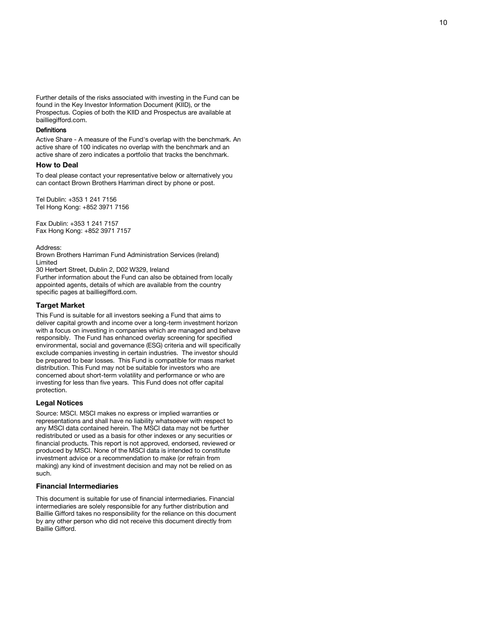Further details of the risks associated with investing in the Fund can be found in the Key Investor Information Document (KIID), or the Prospectus. Copies of both the KIID and Prospectus are available at bailliegifford.com.

#### **Definitions**

Active Share - A measure of the Fund's overlap with the benchmark. An active share of 100 indicates no overlap with the benchmark and an active share of zero indicates a portfolio that tracks the benchmark.

#### **How to Deal**

To deal please contact your representative below or alternatively you can contact Brown Brothers Harriman direct by phone or post.

Tel Dublin: +353 1 241 7156 Tel Hong Kong: +852 3971 7156

Fax Dublin: +353 1 241 7157 Fax Hong Kong: +852 3971 7157

Address:

Brown Brothers Harriman Fund Administration Services (Ireland) Limited

30 Herbert Street, Dublin 2, D02 W329, Ireland

Further information about the Fund can also be obtained from locally appointed agents, details of which are available from the country specific pages at bailliegifford.com.

#### **Target Market**

This Fund is suitable for all investors seeking a Fund that aims to deliver capital growth and income over a long -term investment horizon with a focus on investing in companies which are managed and behave responsibly. The Fund has enhanced overlay screening for specified environmental, social and governance (ESG) criteria and will specifically exclude companies investing in certain industries. The investor should be prepared to bear losses. This Fund is compatible for mass market distribution. This Fund may not be suitable for investors who are concerned about short -term volatility and performance or who are investing for less than five years. This Fund does not offer capital protection.

#### **Legal Notices**

Source: MSCI. MSCI makes no express or implied warranties or representations and shall have no liability whatsoever with respect to any MSCI data contained herein. The MSCI data may not be further redistributed or used as a basis for other indexes or any securities or financial products. This report is not approved, endorsed, reviewed or produced by MSCI. None of the MSCI data is intended to constitute investment advice or a recommendation to make (or refrain from making) any kind of investment decision and may not be relied on as such.

#### **Financial Intermediaries**

This document is suitable for use of financial intermediaries. Financial intermediaries are solely responsible for any further distribution and Baillie Gifford takes no responsibility for the reliance on this document by any other person who did not receive this document directly from Baillie Gifford.